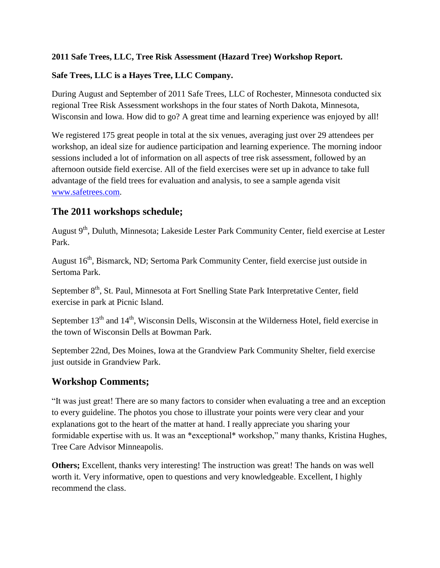### **2011 Safe Trees, LLC, Tree Risk Assessment (Hazard Tree) Workshop Report.**

### **Safe Trees, LLC is a Hayes Tree, LLC Company.**

During August and September of 2011 Safe Trees, LLC of Rochester, Minnesota conducted six regional Tree Risk Assessment workshops in the four states of North Dakota, Minnesota, Wisconsin and Iowa. How did to go? A great time and learning experience was enjoyed by all!

We registered 175 great people in total at the six venues, averaging just over 29 attendees per workshop, an ideal size for audience participation and learning experience. The morning indoor sessions included a lot of information on all aspects of tree risk assessment, followed by an afternoon outside field exercise. All of the field exercises were set up in advance to take full advantage of the field trees for evaluation and analysis, to see a sample agenda visit [www.safetrees.com.](http://www.safetrees.com/)

### **The 2011 workshops schedule;**

August 9<sup>th</sup>, Duluth, Minnesota; Lakeside Lester Park Community Center, field exercise at Lester Park.

August 16<sup>th</sup>, Bismarck, ND; Sertoma Park Community Center, field exercise just outside in Sertoma Park.

September 8<sup>th</sup>, St. Paul, Minnesota at Fort Snelling State Park Interpretative Center, field exercise in park at Picnic Island.

September  $13<sup>th</sup>$  and  $14<sup>th</sup>$ , Wisconsin Dells, Wisconsin at the Wilderness Hotel, field exercise in the town of Wisconsin Dells at Bowman Park.

September 22nd, Des Moines, Iowa at the Grandview Park Community Shelter, field exercise just outside in Grandview Park.

# **Workshop Comments;**

"It was just great! There are so many factors to consider when evaluating a tree and an exception to every guideline. The photos you chose to illustrate your points were very clear and your explanations got to the heart of the matter at hand. I really appreciate you sharing your formidable expertise with us. It was an \*exceptional\* workshop," many thanks, Kristina Hughes, Tree Care Advisor Minneapolis.

**Others;** Excellent, thanks very interesting! The instruction was great! The hands on was well worth it. Very informative, open to questions and very knowledgeable. Excellent, I highly recommend the class.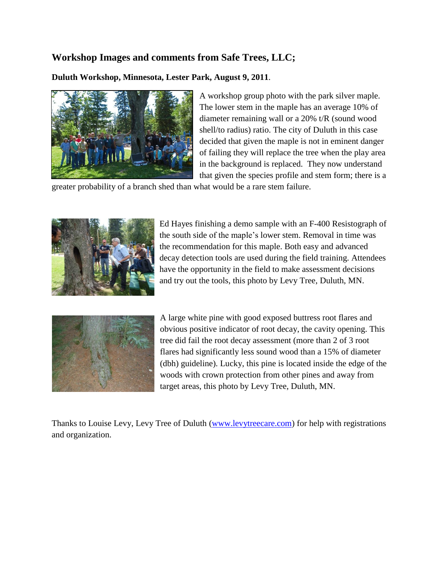## **Workshop Images and comments from Safe Trees, LLC;**

**Duluth Workshop, Minnesota, Lester Park, August 9, 2011**.



A workshop group photo with the park silver maple. The lower stem in the maple has an average 10% of diameter remaining wall or a 20% t/R (sound wood shell/to radius) ratio. The city of Duluth in this case decided that given the maple is not in eminent danger of failing they will replace the tree when the play area in the background is replaced. They now understand that given the species profile and stem form; there is a

greater probability of a branch shed than what would be a rare stem failure.



Ed Hayes finishing a demo sample with an F-400 Resistograph of the south side of the maple's lower stem. Removal in time was the recommendation for this maple. Both easy and advanced decay detection tools are used during the field training. Attendees have the opportunity in the field to make assessment decisions and try out the tools, this photo by Levy Tree, Duluth, MN.



A large white pine with good exposed buttress root flares and obvious positive indicator of root decay, the cavity opening. This tree did fail the root decay assessment (more than 2 of 3 root flares had significantly less sound wood than a 15% of diameter (dbh) guideline). Lucky, this pine is located inside the edge of the woods with crown protection from other pines and away from target areas, this photo by Levy Tree, Duluth, MN.

Thanks to Louise Levy, Levy Tree of Duluth [\(www.levytreecare.com\)](www.levytreecare.com) for help with registrations and organization.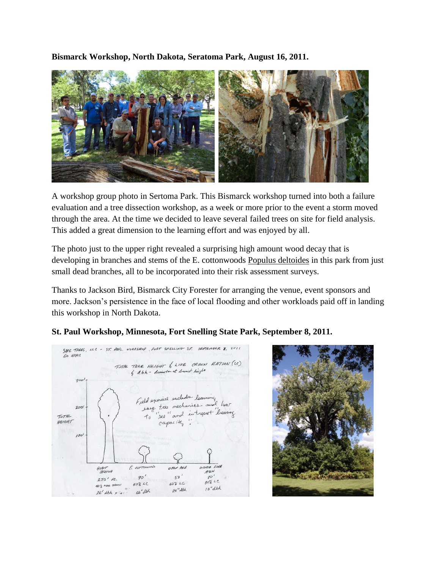**Bismarck Workshop, North Dakota, Seratoma Park, August 16, 2011.**



A workshop group photo in Sertoma Park. This Bismarck workshop turned into both a failure evaluation and a tree dissection workshop, as a week or more prior to the event a storm moved through the area. At the time we decided to leave several failed trees on site for field analysis. This added a great dimension to the learning effort and was enjoyed by all.

The photo just to the upper right revealed a surprising high amount wood decay that is developing in branches and stems of the E. cottonwoods Populus deltoides in this park from just small dead branches, all to be incorporated into their risk assessment surveys.

Thanks to Jackson Bird, Bismarck City Forester for arranging the venue, event sponsors and more. Jackson's persistence in the face of local flooding and other workloads paid off in landing this workshop in North Dakota.



#### **St. Paul Workshop, Minnesota, Fort Snelling State Park, September 8, 2011.**

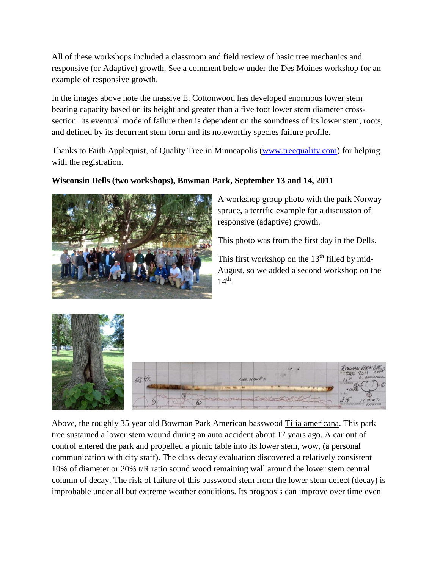All of these workshops included a classroom and field review of basic tree mechanics and responsive (or Adaptive) growth. See a comment below under the Des Moines workshop for an example of responsive growth.

In the images above note the massive E. Cottonwood has developed enormous lower stem bearing capacity based on its height and greater than a five foot lower stem diameter crosssection. Its eventual mode of failure then is dependent on the soundness of its lower stem, roots, and defined by its decurrent stem form and its noteworthy species failure profile.

Thanks to Faith Applequist, of Quality Tree in Minneapolis [\(www.treequality.com\)](http://www.treequality.com/) for helping with the registration.

### **Wisconsin Dells (two workshops), Bowman Park, September 13 and 14, 2011**



A workshop group photo with the park Norway spruce, a terrific example for a discussion of responsive (adaptive) growth.

This photo was from the first day in the Dells.

This first workshop on the  $13<sup>th</sup>$  filled by mid-August, so we added a second workshop on the  $14<sup>th</sup>$ .



Above, the roughly 35 year old Bowman Park American basswood Tilia americana. This park tree sustained a lower stem wound during an auto accident about 17 years ago. A car out of control entered the park and propelled a picnic table into its lower stem, wow, (a personal communication with city staff). The class decay evaluation discovered a relatively consistent 10% of diameter or 20% t/R ratio sound wood remaining wall around the lower stem central column of decay. The risk of failure of this basswood stem from the lower stem defect (decay) is improbable under all but extreme weather conditions. Its prognosis can improve over time even